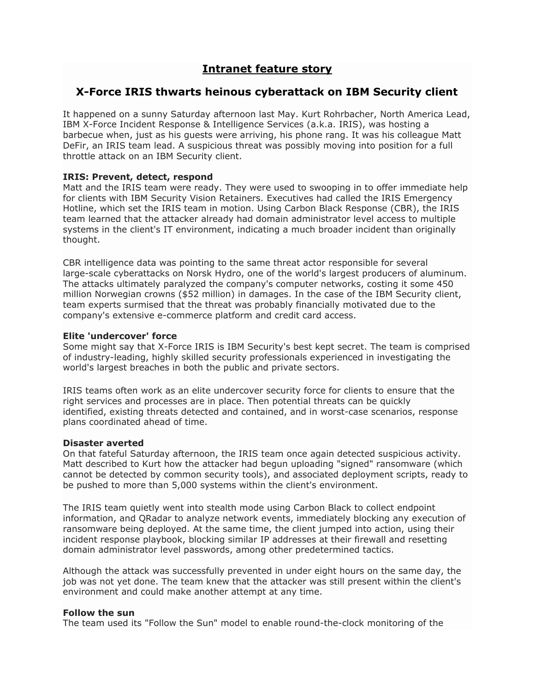# **Intranet feature story**

## **X-Force IRIS thwarts heinous cyberattack on IBM Security client**

It happened on a sunny Saturday afternoon last May. Kurt Rohrbacher, North America Lead, IBM X-Force Incident Response & Intelligence Services (a.k.a. IRIS), was hosting a barbecue when, just as his guests were arriving, his phone rang. It was his colleague Matt DeFir, an IRIS team lead. A suspicious threat was possibly moving into position for a full throttle attack on an IBM Security client.

## **IRIS: Prevent, detect, respond**

Matt and the IRIS team were ready. They were used to swooping in to offer immediate help for clients with IBM Security Vision Retainers. Executives had called the IRIS Emergency Hotline, which set the IRIS team in motion. Using Carbon Black Response (CBR), the IRIS team learned that the attacker already had domain administrator level access to multiple systems in the client's IT environment, indicating a much broader incident than originally thought.

CBR intelligence data was pointing to the same threat actor responsible for several large-scale cyberattacks on Norsk Hydro, one of the world's largest producers of aluminum. The attacks ultimately paralyzed the company's computer networks, costing it some 450 million Norwegian crowns (\$52 million) in damages. In the case of the IBM Security client, team experts surmised that the threat was probably financially motivated due to the company's extensive e-commerce platform and credit card access.

#### **Elite 'undercover' force**

Some might say that X-Force IRIS is IBM Security's best kept secret. The team is comprised of industry-leading, highly skilled security professionals experienced in investigating the world's largest breaches in both the public and private sectors.

IRIS teams often work as an elite undercover security force for clients to ensure that the right services and processes are in place. Then potential threats can be quickly identified, existing threats detected and contained, and in worst-case scenarios, response plans coordinated ahead of time.

#### **Disaster averted**

On that fateful Saturday afternoon, the IRIS team once again detected suspicious activity. Matt described to Kurt how the attacker had begun uploading "signed" ransomware (which cannot be detected by common security tools), and associated deployment scripts, ready to be pushed to more than 5,000 systems within the client's environment.

The IRIS team quietly went into stealth mode using Carbon Black to collect endpoint information, and QRadar to analyze network events, immediately blocking any execution of ransomware being deployed. At the same time, the client jumped into action, using their incident response playbook, blocking similar IP addresses at their firewall and resetting domain administrator level passwords, among other predetermined tactics.

Although the attack was successfully prevented in under eight hours on the same day, the job was not yet done. The team knew that the attacker was still present within the client's environment and could make another attempt at any time.

## **Follow the sun**

The team used its "Follow the Sun" model to enable round-the-clock monitoring of the